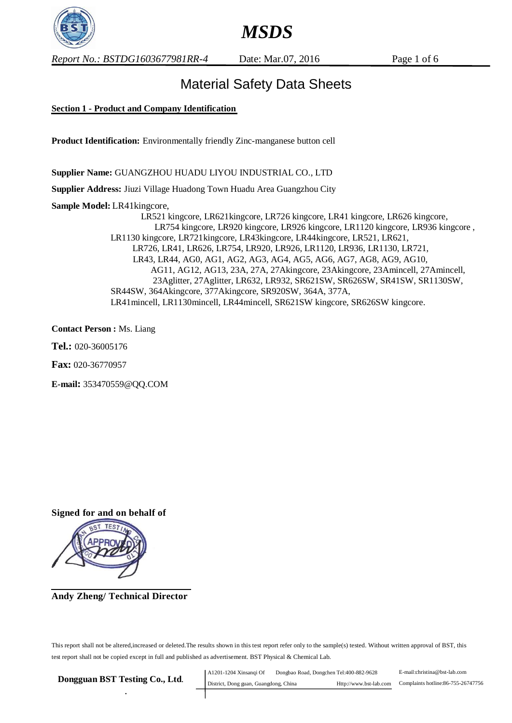

*Report No.: BSTDG1603677981RR-4* Date: Mar.07, 2016 Page 1 of 6

## Material Safety Data Sheets

## **Section 1 - Product and Company Identification**

**Product Identification:** Environmentally friendly Zinc-manganese button cell

**Supplier Name:** GUANGZHOU HUADU LIYOU INDUSTRIAL CO., LTD

**Supplier Address:** Jiuzi Village Huadong Town Huadu Area Guangzhou City

**Sample Model:** LR41kingcore,

 LR521 kingcore, LR621kingcore, LR726 kingcore, LR41 kingcore, LR626 kingcore, LR754 kingcore, LR920 kingcore, LR926 kingcore, LR1120 kingcore, LR936 kingcore , LR1130 kingcore, LR721kingcore, LR43kingcore, LR44kingcore, LR521, LR621, LR726, LR41, LR626, LR754, LR920, LR926, LR1120, LR936, LR1130, LR721, LR43, LR44, AG0, AG1, AG2, AG3, AG4, AG5, AG6, AG7, AG8, AG9, AG10, AG11, AG12, AG13, 23A, 27A, 27Akingcore, 23Akingcore, 23Amincell, 27Amincell, 23Aglitter, 27Aglitter, LR632, LR932, SR621SW, SR626SW, SR41SW, SR1130SW, SR44SW, 364Akingcore, 377Akingcore, SR920SW, 364A, 377A, LR41mincell, LR1130mincell, LR44mincell, SR621SW kingcore, SR626SW kingcore.

**Contact Person :** Ms. Liang

**Tel.:** 020-36005176

**Fax:** 020-36770957

**E-mail:** 353470559@QQ.COM

**Signed for and on behalf of**



 $\overline{a}$ **Andy Zheng/ Technical Director**

This report shall not be altered,increased or deleted.The results shown in this test report refer only to the sample(s) tested. Without written approval of BST, this test report shall not be copied except in full and published as advertisement. BST Physical & Chemical Lab.

**Dongguan BST Testing Co., Ltd***. .* E-mail:christina@bst-lab.com Complaints hotline:86-755-26747756 A1201-1204 Xinsanqi Of Dongbao Road, Dongchen Tel:400-882-9628 District, Dong guan, Guangdong, China Http://www.bst-lab.com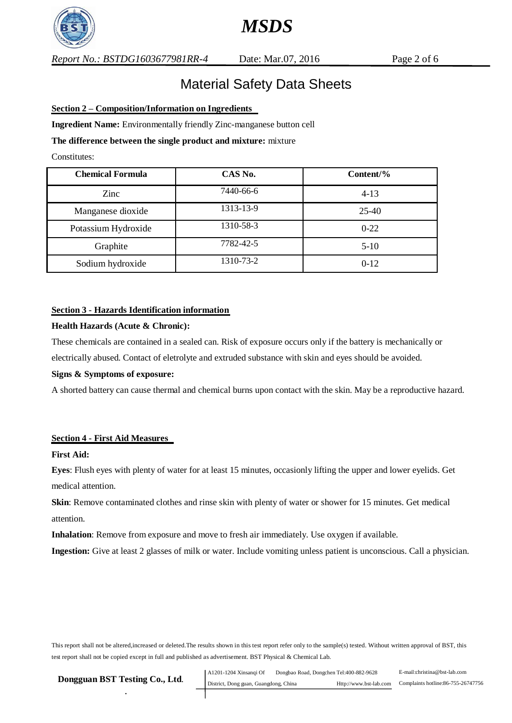

## Material Safety Data Sheets

## **Section 2 – Composition/Information on Ingredients**

**Ingredient Name:** Environmentally friendly Zinc-manganese button cell

## **The difference between the single product and mixture:** mixture

Constitutes:

| <b>Chemical Formula</b> | CAS No.   | Content/% |
|-------------------------|-----------|-----------|
| Zinc                    | 7440-66-6 | $4 - 13$  |
| Manganese dioxide       | 1313-13-9 | 25-40     |
| Potassium Hydroxide     | 1310-58-3 | $0-22$    |
| Graphite                | 7782-42-5 | $5-10$    |
| Sodium hydroxide        | 1310-73-2 | $0-12$    |

## **Section 3 - Hazards Identification information**

### **Health Hazards (Acute & Chronic):**

These chemicals are contained in a sealed can. Risk of exposure occurs only if the battery is mechanically or electrically abused. Contact of eletrolyte and extruded substance with skin and eyes should be avoided.

### **Signs & Symptoms of exposure:**

A shorted battery can cause thermal and chemical burns upon contact with the skin. May be a reproductive hazard.

## **Section 4 - First Aid Measures**

### **First Aid:**

**Eyes**: Flush eyes with plenty of water for at least 15 minutes, occasionly lifting the upper and lower eyelids. Get medical attention.

**Skin**: Remove contaminated clothes and rinse skin with plenty of water or shower for 15 minutes. Get medical attention.

**Inhalation**: Remove from exposure and move to fresh air immediately. Use oxygen if available.

**Ingestion:** Give at least 2 glasses of milk or water. Include vomiting unless patient is unconscious. Call a physician.

| Dongguan BST Testing Co., Ltd. | A1201-1204 Xinsangi Of                | Dongbao Road, Dongchen Tel:400-882-9628 |                        | E-mail:christina@bst-lab.com       |
|--------------------------------|---------------------------------------|-----------------------------------------|------------------------|------------------------------------|
|                                | District, Dong guan, Guangdong, China |                                         | Http://www.bst-lab.com | Complaints hotline:86-755-26747756 |
|                                |                                       |                                         |                        |                                    |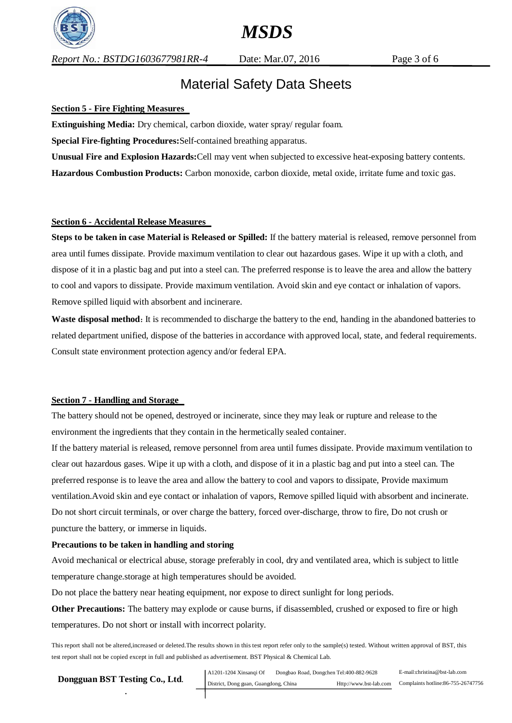

*Report No.: BSTDG1603677981RR-4* Date: Mar.07, 2016 Page 3 of 6

## Material Safety Data Sheets

## **Section 5 - Fire Fighting Measures**

**Extinguishing Media:** Dry chemical, carbon dioxide, water spray/ regular foam.

**Special Fire-fighting Procedures:**Self-contained breathing apparatus.

**Unusual Fire and Explosion Hazards:**Cell may vent when subjected to excessive heat-exposing battery contents.

**Hazardous Combustion Products:** Carbon monoxide, carbon dioxide, metal oxide, irritate fume and toxic gas.

## **Section 6 - Accidental Release Measures**

**Steps to be taken in case Material is Released or Spilled:** If the battery material is released, remove personnel from area until fumes dissipate. Provide maximum ventilation to clear out hazardous gases. Wipe it up with a cloth, and dispose of it in a plastic bag and put into a steel can. The preferred response is to leave the area and allow the battery to cool and vapors to dissipate. Provide maximum ventilation. Avoid skin and eye contact or inhalation of vapors. Remove spilled liquid with absorbent and incinerare.

**Waste disposal method**: It is recommended to discharge the battery to the end, handing in the abandoned batteries to related department unified, dispose of the batteries in accordance with approved local, state, and federal requirements. Consult state environment protection agency and/or federal EPA.

### **Section 7 - Handling and Storage**

The battery should not be opened, destroyed or incinerate, since they may leak or rupture and release to the environment the ingredients that they contain in the hermetically sealed container.

If the battery material is released, remove personnel from area until fumes dissipate. Provide maximum ventilation to clear out hazardous gases. Wipe it up with a cloth, and dispose of it in a plastic bag and put into a steel can. The preferred response is to leave the area and allow the battery to cool and vapors to dissipate, Provide maximum ventilation.Avoid skin and eye contact or inhalation of vapors, Remove spilled liquid with absorbent and incinerate. Do not short circuit terminals, or over charge the battery, forced over-discharge, throw to fire, Do not crush or puncture the battery, or immerse in liquids.

### **Precautions to be taken in handling and storing**

Avoid mechanical or electrical abuse, storage preferably in cool, dry and ventilated area, which is subject to little temperature change.storage at high temperatures should be avoided.

Do not place the battery near heating equipment, nor expose to direct sunlight for long periods.

**Other Precautions:** The battery may explode or cause burns, if disassembled, crushed or exposed to fire or high temperatures. Do not short or install with incorrect polarity.

| Dongguan BST Testing Co., Ltd. | A1201-1204 Xinsangi Of                | Dongbao Road, Dongchen Tel:400-882-9628 |                        | E-mail:christina@bst-lab.com       |
|--------------------------------|---------------------------------------|-----------------------------------------|------------------------|------------------------------------|
|                                | District, Dong guan, Guangdong, China |                                         | Http://www.bst-lab.com | Complaints hotline:86-755-26747756 |
|                                |                                       |                                         |                        |                                    |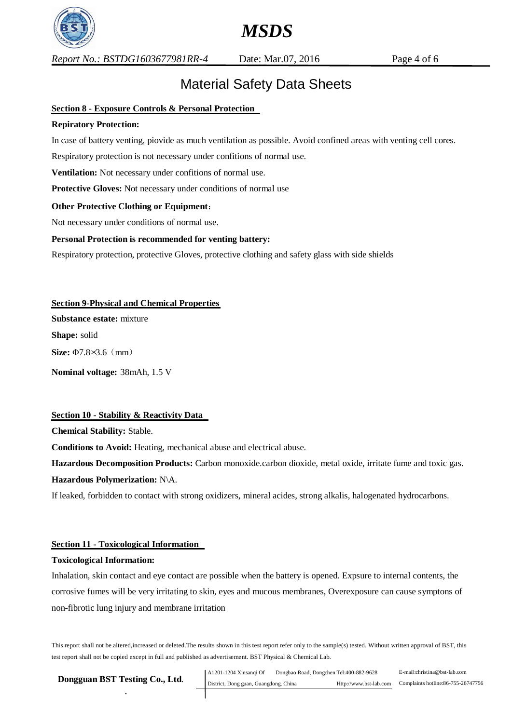

*Report No.: BSTDG1603677981RR-4* Date: Mar.07, 2016 Page 4 of 6

## Material Safety Data Sheets

## **Section 8 - Exposure Controls & Personal Protection**

## **Repiratory Protection:**

In case of battery venting, piovide as much ventilation as possible. Avoid confined areas with venting cell cores.

Respiratory protection is not necessary under confitions of normal use.

**Ventilation:** Not necessary under confitions of normal use.

**Protective Gloves:** Not necessary under conditions of normal use

## **Other Protective Clothing or Equipment**:

Not necessary under conditions of normal use.

## **Personal Protection is recommended for venting battery:**

Respiratory protection, protective Gloves, protective clothing and safety glass with side shields

**Section 9-Physical and Chemical Properties Substance estate:** mixture **Shape:** solid **Size:** Φ7.8×3.6(mm) **Nominal voltage:** 38mAh, 1.5 V

### **Section 10 - Stability & Reactivity Data**

**Chemical Stability:** Stable.

**Conditions to Avoid:** Heating, mechanical abuse and electrical abuse.

**Hazardous Decomposition Products:** Carbon monoxide.carbon dioxide, metal oxide, irritate fume and toxic gas. **Hazardous Polymerization:** N\A.

If leaked, forbidden to contact with strong oxidizers, mineral acides, strong alkalis, halogenated hydrocarbons.

### **Section 11 - Toxicological Information**

### **Toxicological Information:**

Inhalation, skin contact and eye contact are possible when the battery is opened. Expsure to internal contents, the corrosive fumes will be very irritating to skin, eyes and mucous membranes, Overexposure can cause symptons of non-fibrotic lung injury and membrane irritation

| Dongguan BST Testing Co., Ltd. |  |  |
|--------------------------------|--|--|
|                                |  |  |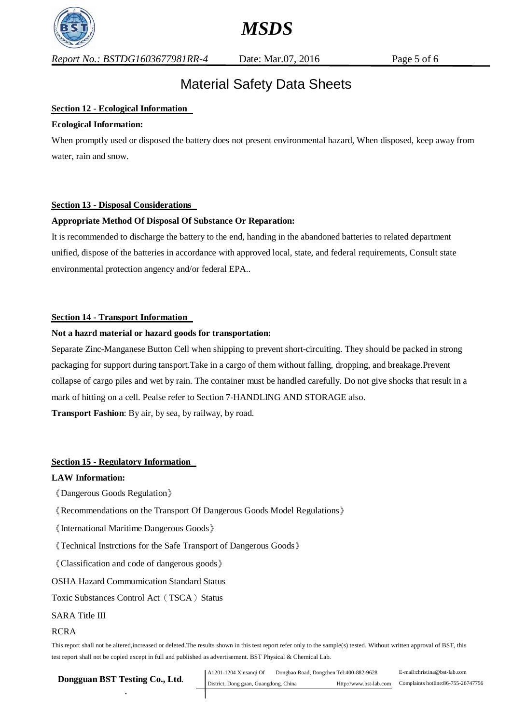

*Report No.: BSTDG1603677981RR-4* Date: Mar.07, 2016 Page 5 of 6

## Material Safety Data Sheets

*MSDS* 

## **Section 12 - Ecological Information**

#### **Ecological Information:**

When promptly used or disposed the battery does not present environmental hazard, When disposed, keep away from water, rain and snow.

### **Section 13 - Disposal Considerations**

## **Appropriate Method Of Disposal Of Substance Or Reparation:**

It is recommended to discharge the battery to the end, handing in the abandoned batteries to related department unified, dispose of the batteries in accordance with approved local, state, and federal requirements, Consult state environmental protection angency and/or federal EPA..

## **Section 14 - Transport Information**

#### **Not a hazrd material or hazard goods for transportation:**

Separate Zinc-Manganese Button Cell when shipping to prevent short-circuiting. They should be packed in strong packaging for support during tansport.Take in a cargo of them without falling, dropping, and breakage.Prevent collapse of cargo piles and wet by rain. The container must be handled carefully. Do not give shocks that result in a mark of hitting on a cell. Pealse refer to Section 7-HANDLING AND STORAGE also. **Transport Fashion**: By air, by sea, by railway, by road.

## **Section 15 - Regulatory Information**

#### **LAW Information:**

- 《Dangerous Goods Regulation》
- 《Recommendations on the Transport Of Dangerous Goods Model Regulations》
- 《International Maritime Dangerous Goods》
- 《Technical Instrctions for the Safe Transport of Dangerous Goods》
- 《Classification and code of dangerous goods》
- OSHA Hazard Commumication Standard Status
- Toxic Substances Control Act (TSCA) Status

#### SARA Title III

### RCRA

| Dongguan BST Testing Co., Ltd. | Dongbao Road, Dongchen Tel:400-882-9628<br>  A1201-1204 Xinsangi Of |  | E-mail:christina@bst-lab.com |                                    |
|--------------------------------|---------------------------------------------------------------------|--|------------------------------|------------------------------------|
|                                | District, Dong guan, Guangdong, China                               |  | Http://www.bst-lab.com       | Complaints hotline:86-755-26747756 |
|                                |                                                                     |  |                              |                                    |